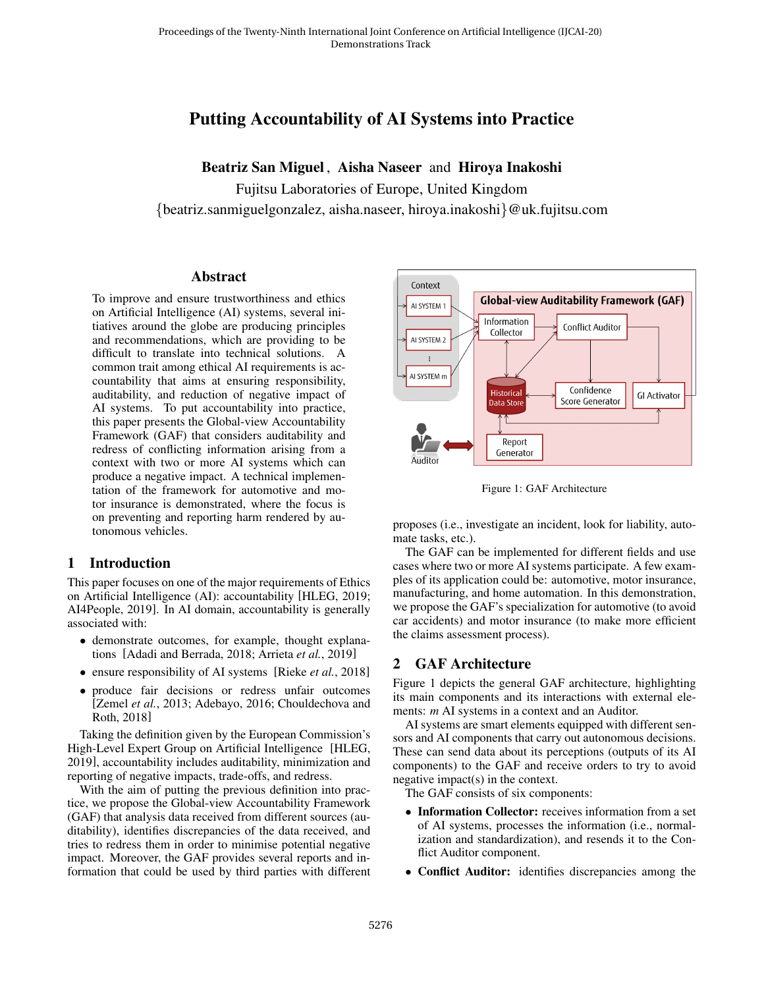# Putting Accountability of AI Systems into Practice

Beatriz San Miguel , Aisha Naseer and Hiroya Inakoshi

Fujitsu Laboratories of Europe, United Kingdom {beatriz.sanmiguelgonzalez, aisha.naseer, hiroya.inakoshi}@uk.fujitsu.com

#### **Abstract**

To improve and ensure trustworthiness and ethics on Artificial Intelligence (AI) systems, several initiatives around the globe are producing principles and recommendations, which are providing to be difficult to translate into technical solutions. A common trait among ethical AI requirements is accountability that aims at ensuring responsibility, auditability, and reduction of negative impact of AI systems. To put accountability into practice, this paper presents the Global-view Accountability Framework (GAF) that considers auditability and redress of conflicting information arising from a context with two or more AI systems which can produce a negative impact. A technical implementation of the framework for automotive and motor insurance is demonstrated, where the focus is on preventing and reporting harm rendered by autonomous vehicles.

#### 1 Introduction

This paper focuses on one of the major requirements of Ethics on Artificial Intelligence (AI): accountability [\[HLEG, 2019;](#page-2-0) [AI4People, 2019\]](#page-2-1). In AI domain, accountability is generally associated with:

- demonstrate outcomes, for example, thought explanations [\[Adadi and Berrada, 2018;](#page-2-2) [Arrieta](#page-2-3) *et al.*, 2019]
- ensure responsibility of AI systems [Rieke *et al.*[, 2018\]](#page-2-4)
- produce fair decisions or redress unfair outcomes [\[Zemel](#page-2-5) *et al.*, 2013; [Adebayo, 2016;](#page-2-6) [Chouldechova and](#page-2-7) [Roth, 2018\]](#page-2-7)

Taking the definition given by the European Commission's High-Level Expert Group on Artificial Intelligence [\[HLEG,](#page-2-0) [2019\]](#page-2-0), accountability includes auditability, minimization and reporting of negative impacts, trade-offs, and redress.

With the aim of putting the previous definition into practice, we propose the Global-view Accountability Framework (GAF) that analysis data received from different sources (auditability), identifies discrepancies of the data received, and tries to redress them in order to minimise potential negative impact. Moreover, the GAF provides several reports and information that could be used by third parties with different

<span id="page-0-0"></span>

Figure 1: GAF Architecture

proposes (i.e., investigate an incident, look for liability, automate tasks, etc.).

The GAF can be implemented for different fields and use cases where two or more AI systems participate. A few examples of its application could be: automotive, motor insurance, manufacturing, and home automation. In this demonstration, we propose the GAF's specialization for automotive (to avoid car accidents) and motor insurance (to make more efficient the claims assessment process).

### 2 GAF Architecture

Figure [1](#page-0-0) depicts the general GAF architecture, highlighting its main components and its interactions with external elements: *m* AI systems in a context and an Auditor.

AI systems are smart elements equipped with different sensors and AI components that carry out autonomous decisions. These can send data about its perceptions (outputs of its AI components) to the GAF and receive orders to try to avoid negative impact(s) in the context.

The GAF consists of six components:

- Information Collector: receives information from a set of AI systems, processes the information (i.e., normalization and standardization), and resends it to the Conflict Auditor component.
- Conflict Auditor: identifies discrepancies among the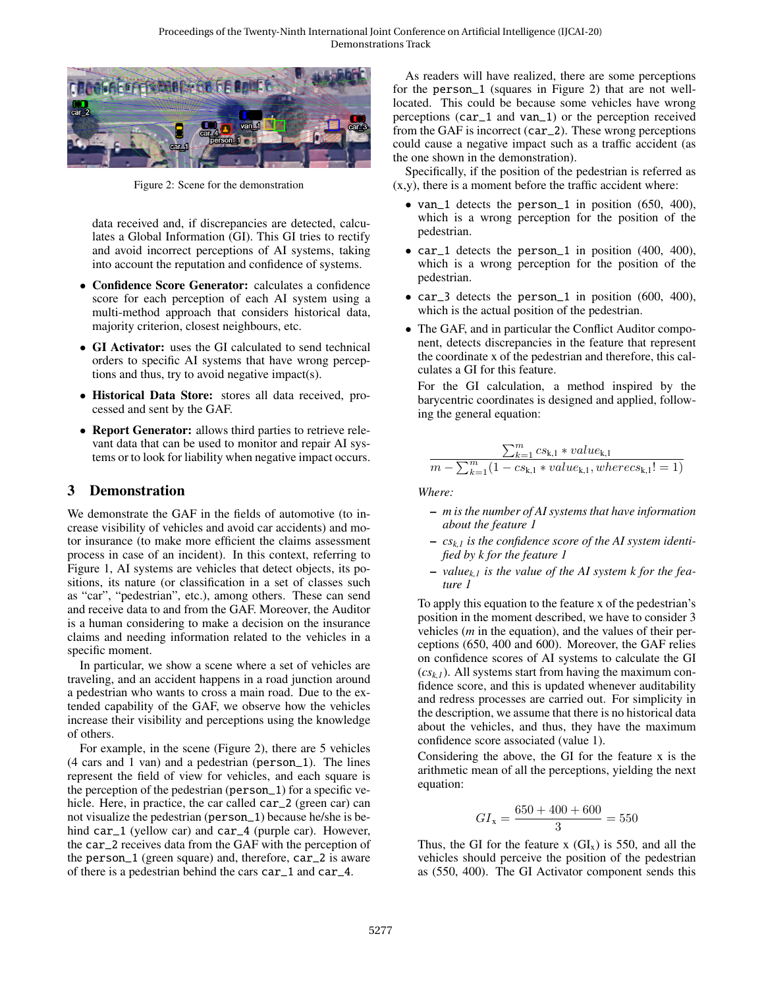<span id="page-1-0"></span>

Figure 2: Scene for the demonstration

data received and, if discrepancies are detected, calculates a Global Information (GI). This GI tries to rectify and avoid incorrect perceptions of AI systems, taking into account the reputation and confidence of systems.

- Confidence Score Generator: calculates a confidence score for each perception of each AI system using a multi-method approach that considers historical data, majority criterion, closest neighbours, etc.
- GI Activator: uses the GI calculated to send technical orders to specific AI systems that have wrong perceptions and thus, try to avoid negative impact(s).
- Historical Data Store: stores all data received, processed and sent by the GAF.
- Report Generator: allows third parties to retrieve relevant data that can be used to monitor and repair AI systems or to look for liability when negative impact occurs.

#### 3 Demonstration

We demonstrate the GAF in the fields of automotive (to increase visibility of vehicles and avoid car accidents) and motor insurance (to make more efficient the claims assessment process in case of an incident). In this context, referring to Figure [1,](#page-0-0) AI systems are vehicles that detect objects, its positions, its nature (or classification in a set of classes such as "car", "pedestrian", etc.), among others. These can send and receive data to and from the GAF. Moreover, the Auditor is a human considering to make a decision on the insurance claims and needing information related to the vehicles in a specific moment.

In particular, we show a scene where a set of vehicles are traveling, and an accident happens in a road junction around a pedestrian who wants to cross a main road. Due to the extended capability of the GAF, we observe how the vehicles increase their visibility and perceptions using the knowledge of others.

For example, in the scene (Figure [2\)](#page-1-0), there are 5 vehicles (4 cars and 1 van) and a pedestrian (person\_1). The lines represent the field of view for vehicles, and each square is the perception of the pedestrian (person\_1) for a specific vehicle. Here, in practice, the car called car\_2 (green car) can not visualize the pedestrian (person\_1) because he/she is behind car\_1 (yellow car) and car\_4 (purple car). However, the car\_2 receives data from the GAF with the perception of the person\_1 (green square) and, therefore, car\_2 is aware of there is a pedestrian behind the cars car\_1 and car\_4.

As readers will have realized, there are some perceptions for the person\_1 (squares in Figure [2\)](#page-1-0) that are not welllocated. This could be because some vehicles have wrong perceptions (car\_1 and van\_1) or the perception received from the GAF is incorrect (car\_2). These wrong perceptions could cause a negative impact such as a traffic accident (as the one shown in the demonstration).

Specifically, if the position of the pedestrian is referred as (x,y), there is a moment before the traffic accident where:

- van\_1 detects the person\_1 in position (650, 400), which is a wrong perception for the position of the pedestrian.
- car\_1 detects the person\_1 in position (400, 400), which is a wrong perception for the position of the pedestrian.
- car\_3 detects the person\_1 in position (600, 400), which is the actual position of the pedestrian.
- The GAF, and in particular the Conflict Auditor component, detects discrepancies in the feature that represent the coordinate x of the pedestrian and therefore, this calculates a GI for this feature.

For the GI calculation, a method inspired by the barycentric coordinates is designed and applied, following the general equation:

$$
\frac{\sum_{k=1}^{m} cs_{k,1} * value_{k,1}}{m - \sum_{k=1}^{m} (1 - cs_{k,1} * value_{k,1}, where cs_{k,1}! = 1)}
$$

*Where:*

- *m is the number of AI systems that have information about the feature 1*
- *csk,1 is the confidence score of the AI system identified by k for the feature 1*
- *valuek,1 is the value of the AI system k for the feature 1*

To apply this equation to the feature x of the pedestrian's position in the moment described, we have to consider 3 vehicles (*m* in the equation), and the values of their perceptions (650, 400 and 600). Moreover, the GAF relies on confidence scores of AI systems to calculate the GI  $(c_{s_k})$ . All systems start from having the maximum confidence score, and this is updated whenever auditability and redress processes are carried out. For simplicity in the description, we assume that there is no historical data about the vehicles, and thus, they have the maximum confidence score associated (value 1).

Considering the above, the GI for the feature x is the arithmetic mean of all the perceptions, yielding the next equation:

$$
GI_{x} = \frac{650 + 400 + 600}{3} = 550
$$

Thus, the GI for the feature x  $(GI<sub>x</sub>)$  is 550, and all the vehicles should perceive the position of the pedestrian as (550, 400). The GI Activator component sends this